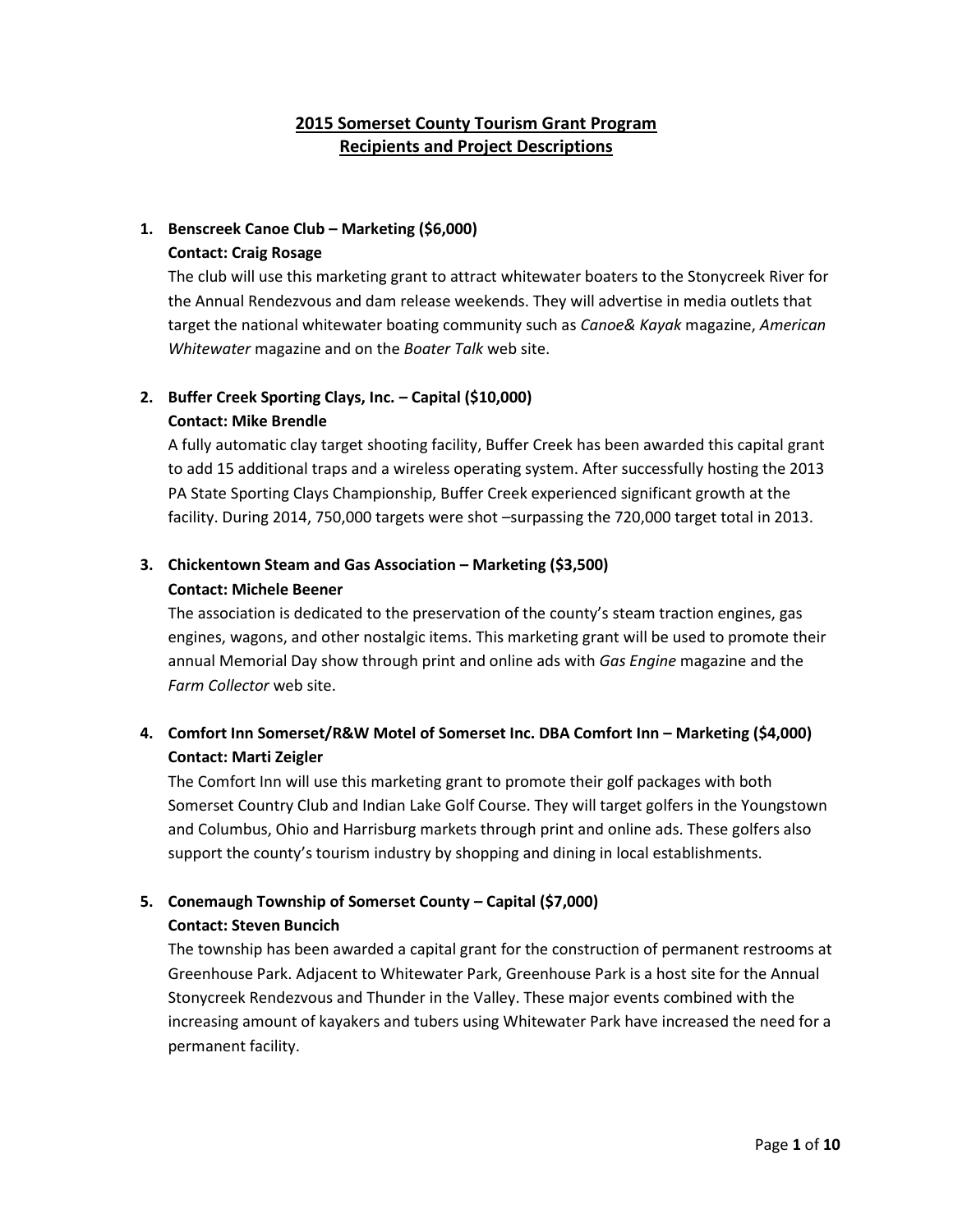## **2015 Somerset County Tourism Grant Program Recipients and Project Descriptions**

## **1. Benscreek Canoe Club – Marketing (\$6,000)**

#### **Contact: Craig Rosage**

The club will use this marketing grant to attract whitewater boaters to the Stonycreek River for the Annual Rendezvous and dam release weekends. They will advertise in media outlets that target the national whitewater boating community such as *Canoe& Kayak* magazine, *American Whitewater* magazine and on the *Boater Talk* web site.

## **2. Buffer Creek Sporting Clays, Inc. – Capital (\$10,000) Contact: Mike Brendle**

A fully automatic clay target shooting facility, Buffer Creek has been awarded this capital grant to add 15 additional traps and a wireless operating system. After successfully hosting the 2013 PA State Sporting Clays Championship, Buffer Creek experienced significant growth at the facility. During 2014, 750,000 targets were shot –surpassing the 720,000 target total in 2013.

## **3. Chickentown Steam and Gas Association – Marketing (\$3,500)**

### **Contact: Michele Beener**

The association is dedicated to the preservation of the county's steam traction engines, gas engines, wagons, and other nostalgic items. This marketing grant will be used to promote their annual Memorial Day show through print and online ads with *Gas Engine* magazine and the *Farm Collector* web site.

## **4. Comfort Inn Somerset/R&W Motel of Somerset Inc. DBA Comfort Inn – Marketing (\$4,000) Contact: Marti Zeigler**

The Comfort Inn will use this marketing grant to promote their golf packages with both Somerset Country Club and Indian Lake Golf Course. They will target golfers in the Youngstown and Columbus, Ohio and Harrisburg markets through print and online ads. These golfers also support the county's tourism industry by shopping and dining in local establishments.

## **5. Conemaugh Township of Somerset County – Capital (\$7,000) Contact: Steven Buncich**

The township has been awarded a capital grant for the construction of permanent restrooms at Greenhouse Park. Adjacent to Whitewater Park, Greenhouse Park is a host site for the Annual Stonycreek Rendezvous and Thunder in the Valley. These major events combined with the increasing amount of kayakers and tubers using Whitewater Park have increased the need for a permanent facility.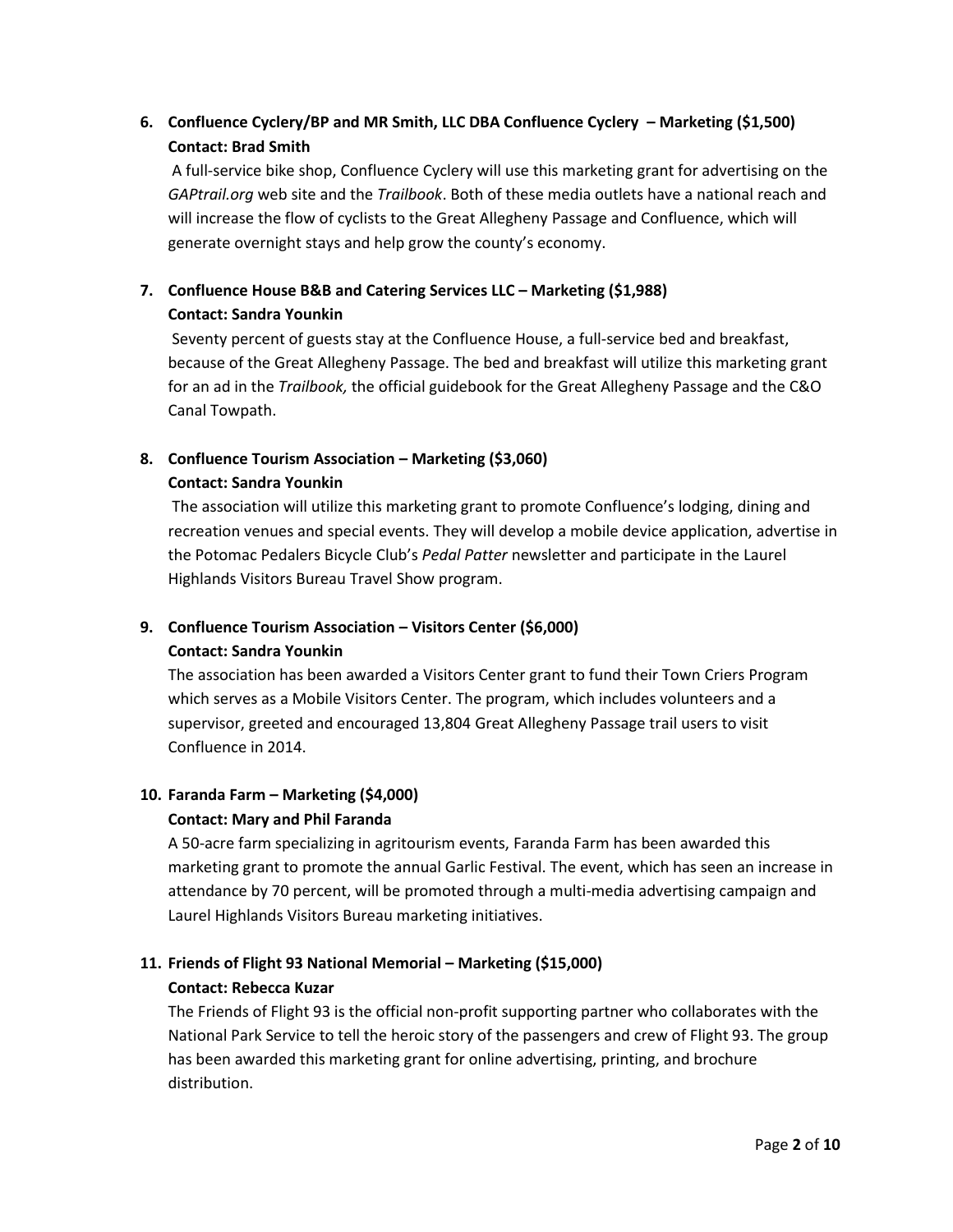## **6. Confluence Cyclery/BP and MR Smith, LLC DBA Confluence Cyclery – Marketing (\$1,500) Contact: Brad Smith**

A full-service bike shop, Confluence Cyclery will use this marketing grant for advertising on the *GAPtrail.org* web site and the *Trailbook*. Both of these media outlets have a national reach and will increase the flow of cyclists to the Great Allegheny Passage and Confluence, which will generate overnight stays and help grow the county's economy.

## **7. Confluence House B&B and Catering Services LLC – Marketing (\$1,988) Contact: Sandra Younkin**

Seventy percent of guests stay at the Confluence House, a full-service bed and breakfast, because of the Great Allegheny Passage. The bed and breakfast will utilize this marketing grant for an ad in the *Trailbook,* the official guidebook for the Great Allegheny Passage and the C&O Canal Towpath.

### **8. Confluence Tourism Association – Marketing (\$3,060) Contact: Sandra Younkin**

The association will utilize this marketing grant to promote Confluence's lodging, dining and recreation venues and special events. They will develop a mobile device application, advertise in the Potomac Pedalers Bicycle Club's *Pedal Patter* newsletter and participate in the Laurel Highlands Visitors Bureau Travel Show program.

## **9. Confluence Tourism Association – Visitors Center (\$6,000)**

### **Contact: Sandra Younkin**

The association has been awarded a Visitors Center grant to fund their Town Criers Program which serves as a Mobile Visitors Center. The program, which includes volunteers and a supervisor, greeted and encouraged 13,804 Great Allegheny Passage trail users to visit Confluence in 2014.

### **10. Faranda Farm – Marketing (\$4,000)**

### **Contact: Mary and Phil Faranda**

A 50-acre farm specializing in agritourism events, Faranda Farm has been awarded this marketing grant to promote the annual Garlic Festival. The event, which has seen an increase in attendance by 70 percent, will be promoted through a multi-media advertising campaign and Laurel Highlands Visitors Bureau marketing initiatives.

#### **11. Friends of Flight 93 National Memorial – Marketing (\$15,000) Contact: Rebecca Kuzar**

The Friends of Flight 93 is the official non-profit supporting partner who collaborates with the National Park Service to tell the heroic story of the passengers and crew of Flight 93. The group has been awarded this marketing grant for online advertising, printing, and brochure distribution.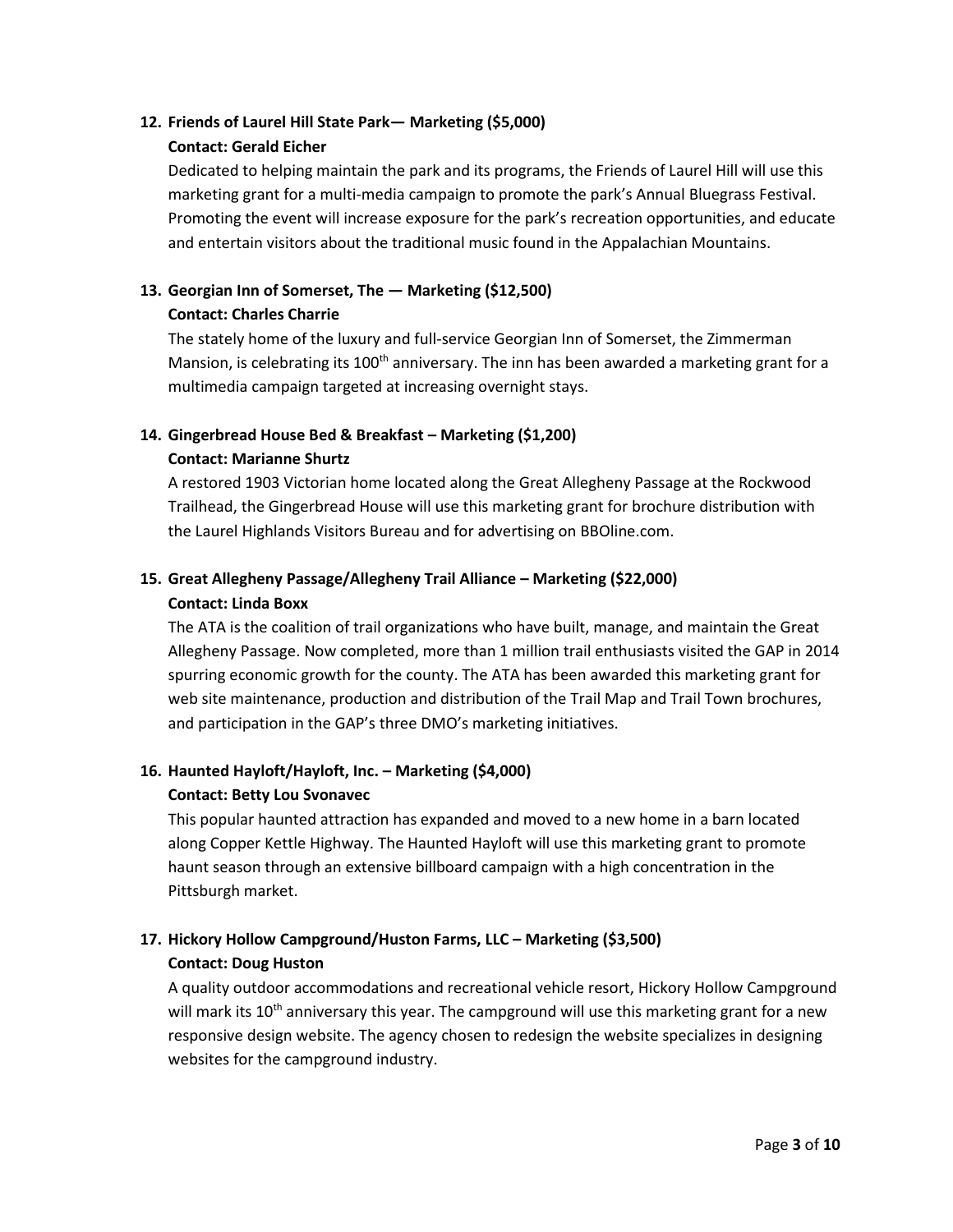## **12. Friends of Laurel Hill State Park— Marketing (\$5,000) Contact: Gerald Eicher**

Dedicated to helping maintain the park and its programs, the Friends of Laurel Hill will use this marketing grant for a multi-media campaign to promote the park's Annual Bluegrass Festival. Promoting the event will increase exposure for the park's recreation opportunities, and educate and entertain visitors about the traditional music found in the Appalachian Mountains.

## **13. Georgian Inn of Somerset, The — Marketing (\$12,500) Contact: Charles Charrie**

The stately home of the luxury and full-service Georgian Inn of Somerset, the Zimmerman Mansion, is celebrating its 100<sup>th</sup> anniversary. The inn has been awarded a marketing grant for a multimedia campaign targeted at increasing overnight stays.

## **14. Gingerbread House Bed & Breakfast – Marketing (\$1,200)**

### **Contact: Marianne Shurtz**

A restored 1903 Victorian home located along the Great Allegheny Passage at the Rockwood Trailhead, the Gingerbread House will use this marketing grant for brochure distribution with the Laurel Highlands Visitors Bureau and for advertising on BBOline.com.

## **15. Great Allegheny Passage/Allegheny Trail Alliance – Marketing (\$22,000) Contact: Linda Boxx**

The ATA is the coalition of trail organizations who have built, manage, and maintain the Great Allegheny Passage. Now completed, more than 1 million trail enthusiasts visited the GAP in 2014 spurring economic growth for the county. The ATA has been awarded this marketing grant for web site maintenance, production and distribution of the Trail Map and Trail Town brochures, and participation in the GAP's three DMO's marketing initiatives.

## **16. Haunted Hayloft/Hayloft, Inc. – Marketing (\$4,000)**

### **Contact: Betty Lou Svonavec**

This popular haunted attraction has expanded and moved to a new home in a barn located along Copper Kettle Highway. The Haunted Hayloft will use this marketing grant to promote haunt season through an extensive billboard campaign with a high concentration in the Pittsburgh market.

## **17. Hickory Hollow Campground/Huston Farms, LLC – Marketing (\$3,500) Contact: Doug Huston**

A quality outdoor accommodations and recreational vehicle resort, Hickory Hollow Campground will mark its  $10^{th}$  anniversary this year. The campground will use this marketing grant for a new responsive design website. The agency chosen to redesign the website specializes in designing websites for the campground industry.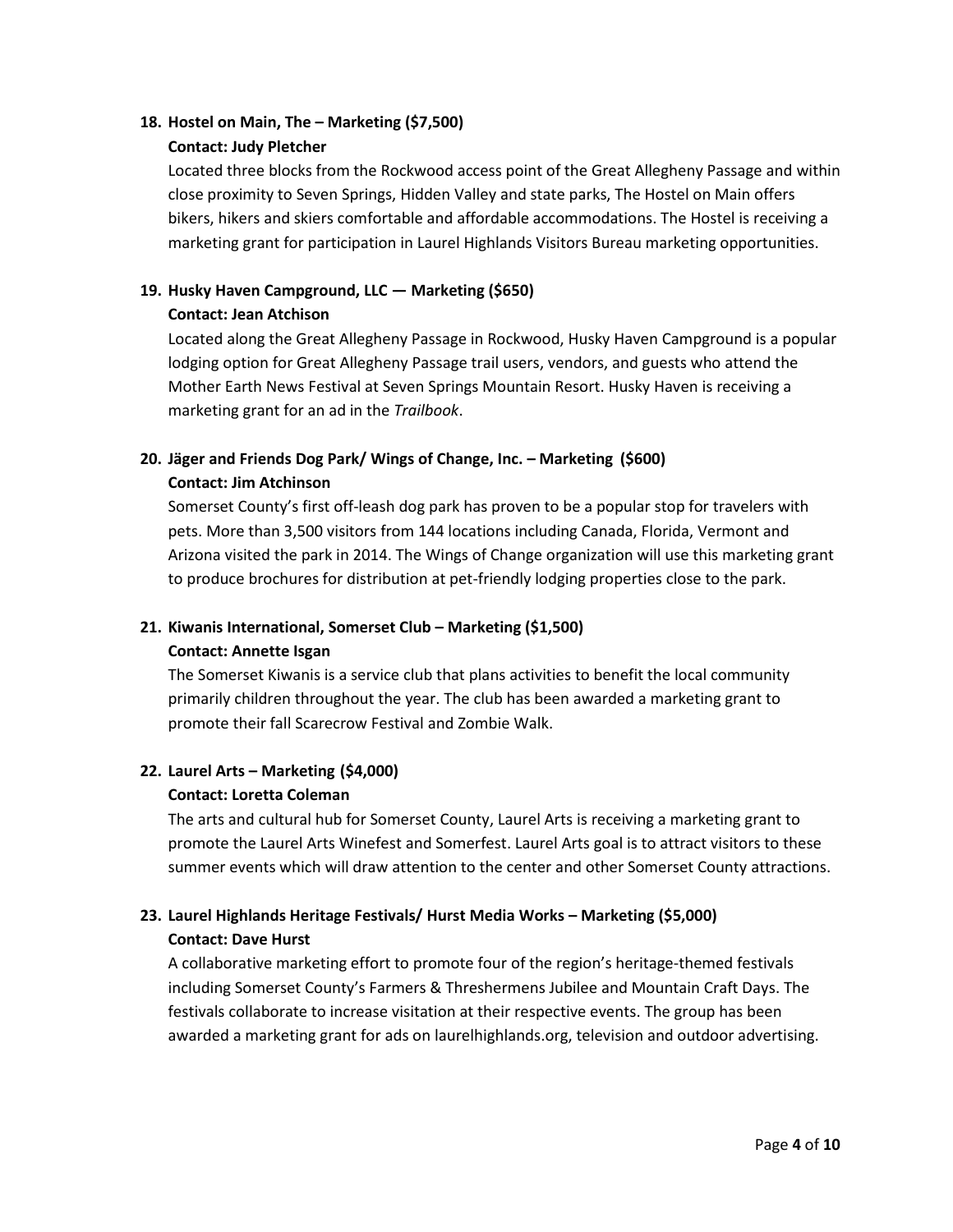### **18. Hostel on Main, The – Marketing (\$7,500) Contact: Judy Pletcher**

Located three blocks from the Rockwood access point of the Great Allegheny Passage and within close proximity to Seven Springs, Hidden Valley and state parks, The Hostel on Main offers bikers, hikers and skiers comfortable and affordable accommodations. The Hostel is receiving a marketing grant for participation in Laurel Highlands Visitors Bureau marketing opportunities.

### **19. Husky Haven Campground, LLC — Marketing (\$650) Contact: Jean Atchison**

Located along the Great Allegheny Passage in Rockwood, Husky Haven Campground is a popular lodging option for Great Allegheny Passage trail users, vendors, and guests who attend the Mother Earth News Festival at Seven Springs Mountain Resort. Husky Haven is receiving a marketing grant for an ad in the *Trailbook*.

## **20. Jäger and Friends Dog Park/ Wings of Change, Inc. – Marketing (\$600)**

### **Contact: Jim Atchinson**

Somerset County's first off-leash dog park has proven to be a popular stop for travelers with pets. More than 3,500 visitors from 144 locations including Canada, Florida, Vermont and Arizona visited the park in 2014. The Wings of Change organization will use this marketing grant to produce brochures for distribution at pet-friendly lodging properties close to the park.

### **21. Kiwanis International, Somerset Club – Marketing (\$1,500)**

### **Contact: Annette Isgan**

The Somerset Kiwanis is a service club that plans activities to benefit the local community primarily children throughout the year. The club has been awarded a marketing grant to promote their fall Scarecrow Festival and Zombie Walk.

### **22. Laurel Arts – Marketing (\$4,000)**

### **Contact: Loretta Coleman**

The arts and cultural hub for Somerset County, Laurel Arts is receiving a marketing grant to promote the Laurel Arts Winefest and Somerfest. Laurel Arts goal is to attract visitors to these summer events which will draw attention to the center and other Somerset County attractions.

## **23. Laurel Highlands Heritage Festivals/ Hurst Media Works – Marketing (\$5,000) Contact: Dave Hurst**

A collaborative marketing effort to promote four of the region's heritage-themed festivals including Somerset County's Farmers & Threshermens Jubilee and Mountain Craft Days. The festivals collaborate to increase visitation at their respective events. The group has been awarded a marketing grant for ads on laurelhighlands.org, television and outdoor advertising.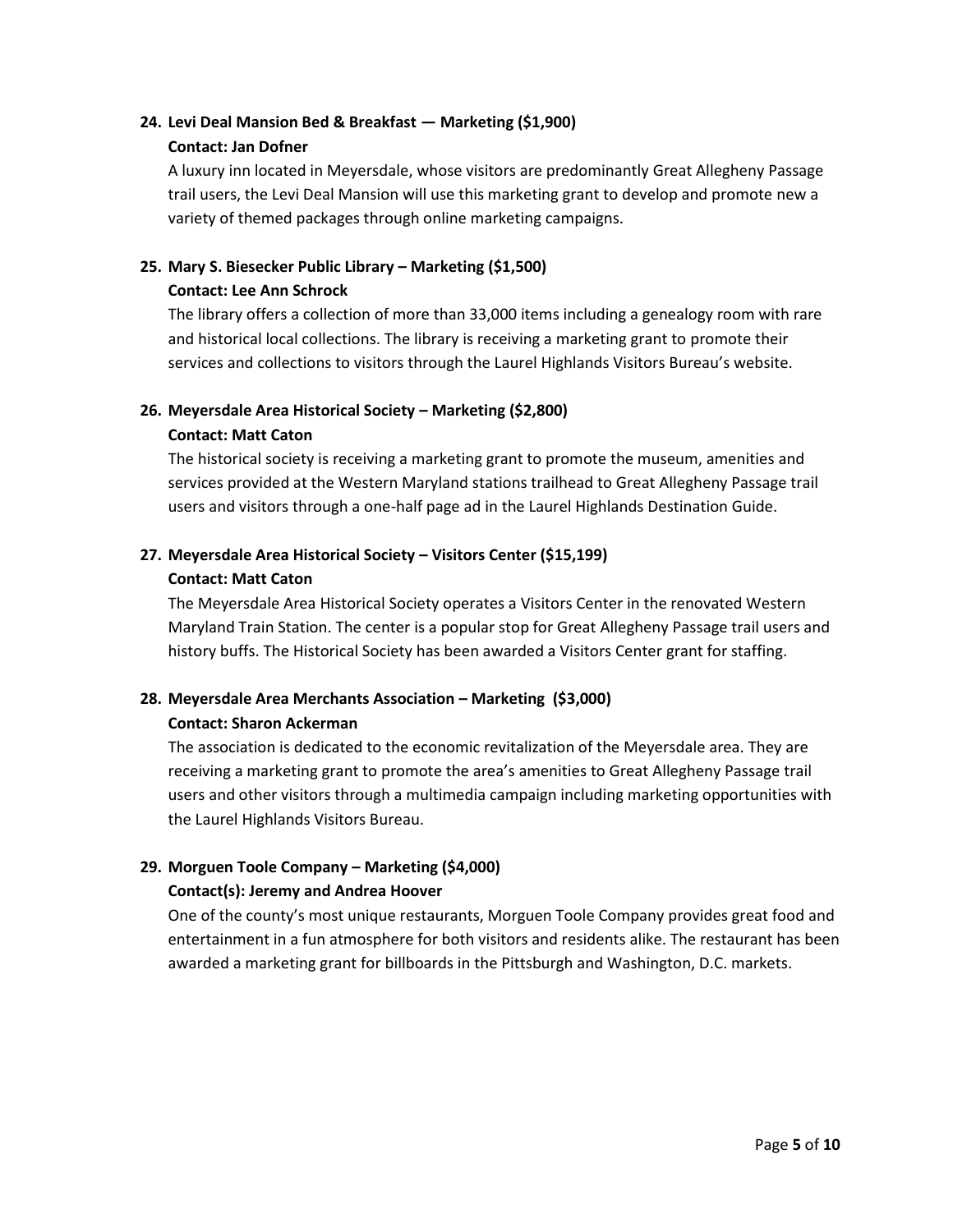## **24. Levi Deal Mansion Bed & Breakfast — Marketing (\$1,900) Contact: Jan Dofner**

A luxury inn located in Meyersdale, whose visitors are predominantly Great Allegheny Passage trail users, the Levi Deal Mansion will use this marketing grant to develop and promote new a variety of themed packages through online marketing campaigns.

# **25. Mary S. Biesecker Public Library – Marketing (\$1,500)**

### **Contact: Lee Ann Schrock**

The library offers a collection of more than 33,000 items including a genealogy room with rare and historical local collections. The library is receiving a marketing grant to promote their services and collections to visitors through the Laurel Highlands Visitors Bureau's website.

### **26. Meyersdale Area Historical Society – Marketing (\$2,800)**

### **Contact: Matt Caton**

The historical society is receiving a marketing grant to promote the museum, amenities and services provided at the Western Maryland stations trailhead to Great Allegheny Passage trail users and visitors through a one-half page ad in the Laurel Highlands Destination Guide.

## **27. Meyersdale Area Historical Society – Visitors Center (\$15,199)**

### **Contact: Matt Caton**

The Meyersdale Area Historical Society operates a Visitors Center in the renovated Western Maryland Train Station. The center is a popular stop for Great Allegheny Passage trail users and history buffs. The Historical Society has been awarded a Visitors Center grant for staffing.

## **28. Meyersdale Area Merchants Association – Marketing (\$3,000)**

### **Contact: Sharon Ackerman**

The association is dedicated to the economic revitalization of the Meyersdale area. They are receiving a marketing grant to promote the area's amenities to Great Allegheny Passage trail users and other visitors through a multimedia campaign including marketing opportunities with the Laurel Highlands Visitors Bureau.

## **29. Morguen Toole Company – Marketing (\$4,000)**

### **Contact(s): Jeremy and Andrea Hoover**

One of the county's most unique restaurants, Morguen Toole Company provides great food and entertainment in a fun atmosphere for both visitors and residents alike. The restaurant has been awarded a marketing grant for billboards in the Pittsburgh and Washington, D.C. markets.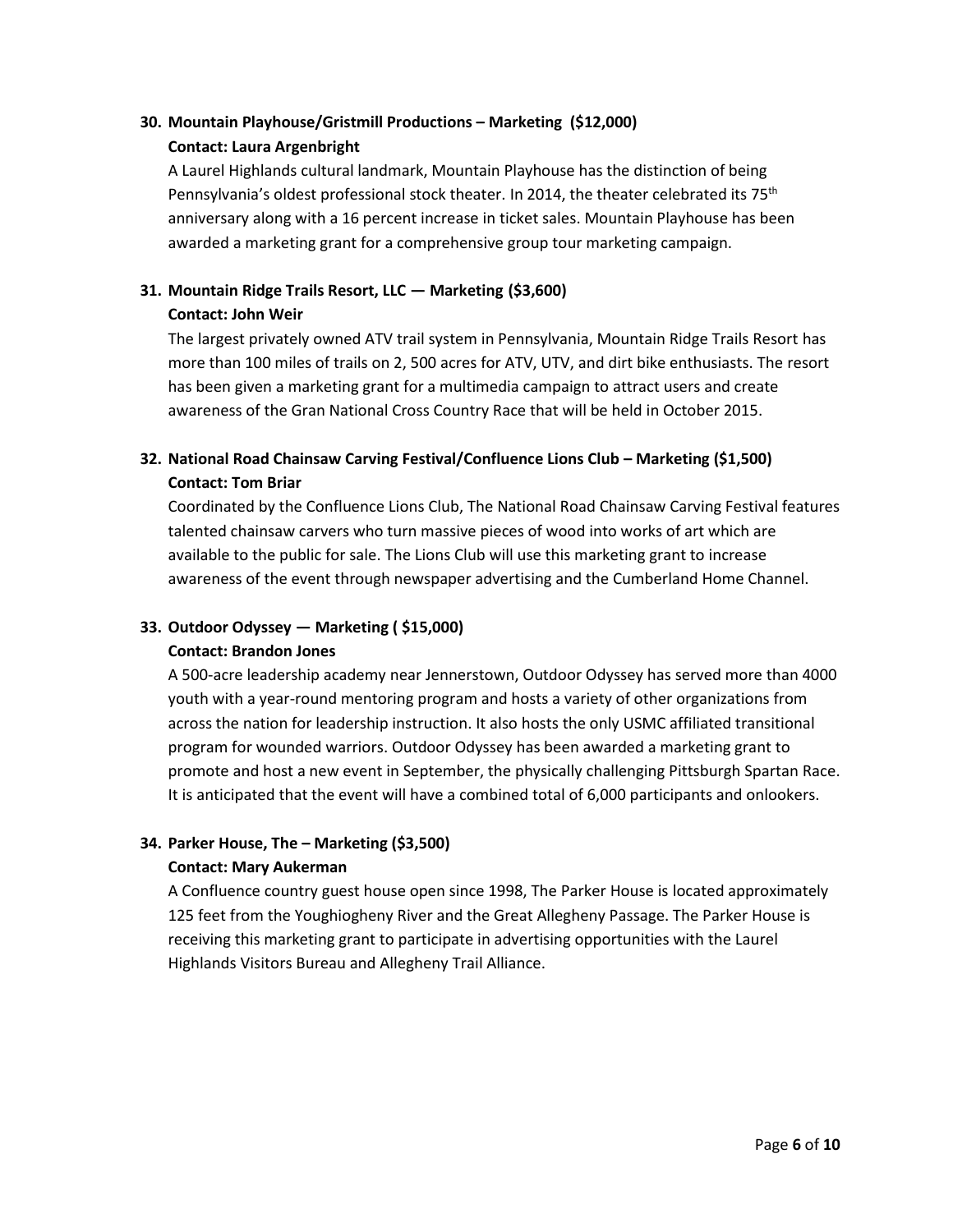## **30. Mountain Playhouse/Gristmill Productions – Marketing (\$12,000) Contact: Laura Argenbright**

A Laurel Highlands cultural landmark, Mountain Playhouse has the distinction of being Pennsylvania's oldest professional stock theater. In 2014, the theater celebrated its 75<sup>th</sup> anniversary along with a 16 percent increase in ticket sales. Mountain Playhouse has been awarded a marketing grant for a comprehensive group tour marketing campaign.

## **31. Mountain Ridge Trails Resort, LLC — Marketing (\$3,600) Contact: John Weir**

The largest privately owned ATV trail system in Pennsylvania, Mountain Ridge Trails Resort has more than 100 miles of trails on 2, 500 acres for ATV, UTV, and dirt bike enthusiasts. The resort has been given a marketing grant for a multimedia campaign to attract users and create awareness of the Gran National Cross Country Race that will be held in October 2015.

## **32. National Road Chainsaw Carving Festival/Confluence Lions Club – Marketing (\$1,500) Contact: Tom Briar**

Coordinated by the Confluence Lions Club, The National Road Chainsaw Carving Festival features talented chainsaw carvers who turn massive pieces of wood into works of art which are available to the public for sale. The Lions Club will use this marketing grant to increase awareness of the event through newspaper advertising and the Cumberland Home Channel.

### **33. Outdoor Odyssey — Marketing ( \$15,000)**

### **Contact: Brandon Jones**

A 500-acre leadership academy near Jennerstown, Outdoor Odyssey has served more than 4000 youth with a year-round mentoring program and hosts a variety of other organizations from across the nation for leadership instruction. It also hosts the only USMC affiliated transitional program for wounded warriors. Outdoor Odyssey has been awarded a marketing grant to promote and host a new event in September, the physically challenging Pittsburgh Spartan Race. It is anticipated that the event will have a combined total of 6,000 participants and onlookers.

### **34. Parker House, The – Marketing (\$3,500)**

### **Contact: Mary Aukerman**

A Confluence country guest house open since 1998, The Parker House is located approximately 125 feet from the Youghiogheny River and the Great Allegheny Passage. The Parker House is receiving this marketing grant to participate in advertising opportunities with the Laurel Highlands Visitors Bureau and Allegheny Trail Alliance.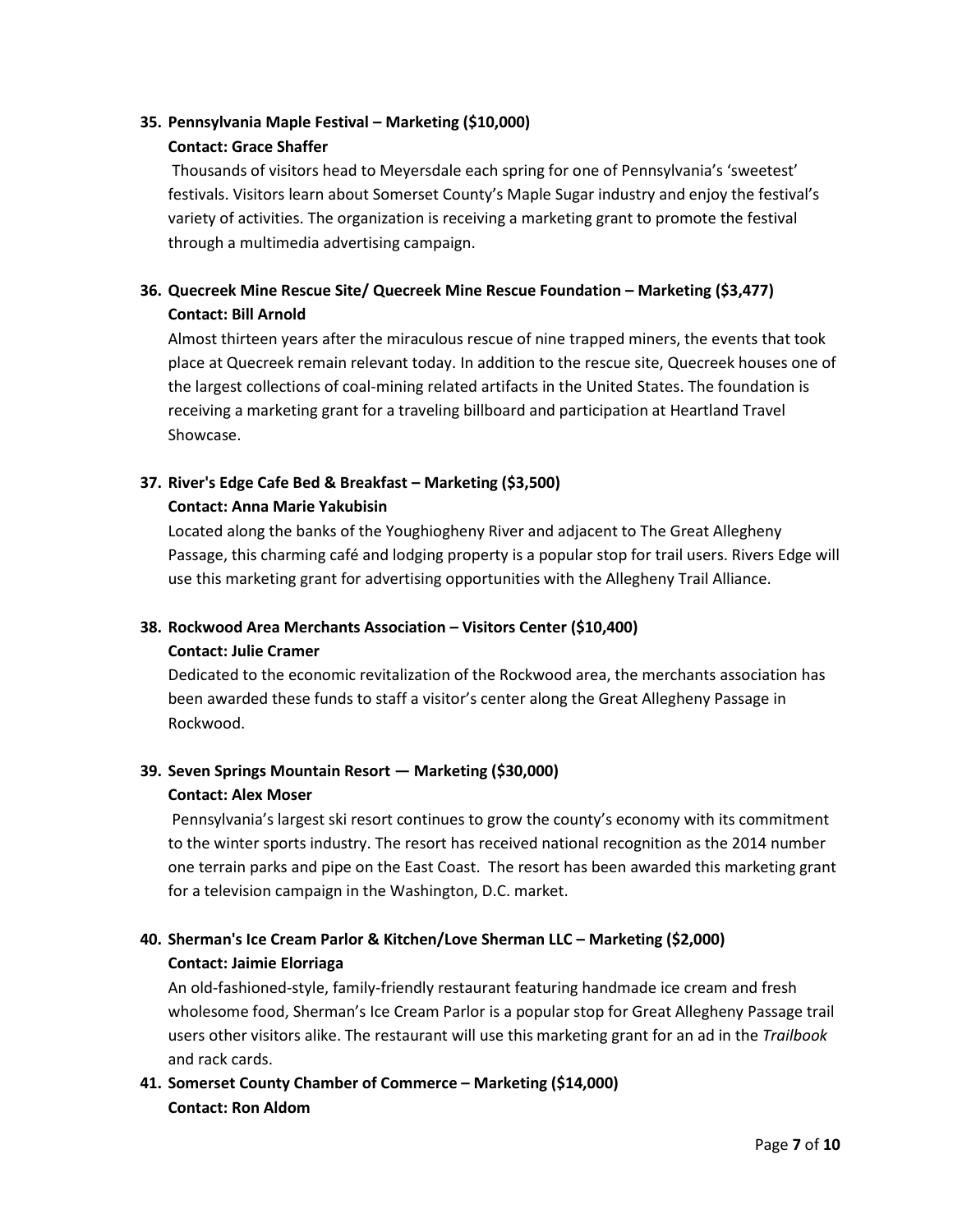### **35. Pennsylvania Maple Festival – Marketing (\$10,000) Contact: Grace Shaffer**

Thousands of visitors head to Meyersdale each spring for one of Pennsylvania's 'sweetest' festivals. Visitors learn about Somerset County's Maple Sugar industry and enjoy the festival's variety of activities. The organization is receiving a marketing grant to promote the festival through a multimedia advertising campaign.

## **36. Quecreek Mine Rescue Site/ Quecreek Mine Rescue Foundation – Marketing (\$3,477) Contact: Bill Arnold**

Almost thirteen years after the miraculous rescue of nine trapped miners, the events that took place at Quecreek remain relevant today. In addition to the rescue site, Quecreek houses one of the largest collections of coal-mining related artifacts in the United States. The foundation is receiving a marketing grant for a traveling billboard and participation at Heartland Travel Showcase.

### **37. River's Edge Cafe Bed & Breakfast – Marketing (\$3,500) Contact: Anna Marie Yakubisin**

Located along the banks of the Youghiogheny River and adjacent to The Great Allegheny Passage, this charming café and lodging property is a popular stop for trail users. Rivers Edge will use this marketing grant for advertising opportunities with the Allegheny Trail Alliance.

## **38. Rockwood Area Merchants Association – Visitors Center (\$10,400)**

#### **Contact: Julie Cramer**

Dedicated to the economic revitalization of the Rockwood area, the merchants association has been awarded these funds to staff a visitor's center along the Great Allegheny Passage in Rockwood.

### **39. Seven Springs Mountain Resort — Marketing (\$30,000) Contact: Alex Moser**

Pennsylvania's largest ski resort continues to grow the county's economy with its commitment to the winter sports industry. The resort has received national recognition as the 2014 number one terrain parks and pipe on the East Coast. The resort has been awarded this marketing grant for a television campaign in the Washington, D.C. market.

## **40. Sherman's Ice Cream Parlor & Kitchen/Love Sherman LLC – Marketing (\$2,000) Contact: Jaimie Elorriaga**

An old-fashioned-style, family-friendly restaurant featuring handmade ice cream and fresh wholesome food, Sherman's Ice Cream Parlor is a popular stop for Great Allegheny Passage trail users other visitors alike. The restaurant will use this marketing grant for an ad in the *Trailbook*  and rack cards.

## **41. Somerset County Chamber of Commerce – Marketing (\$14,000) Contact: Ron Aldom**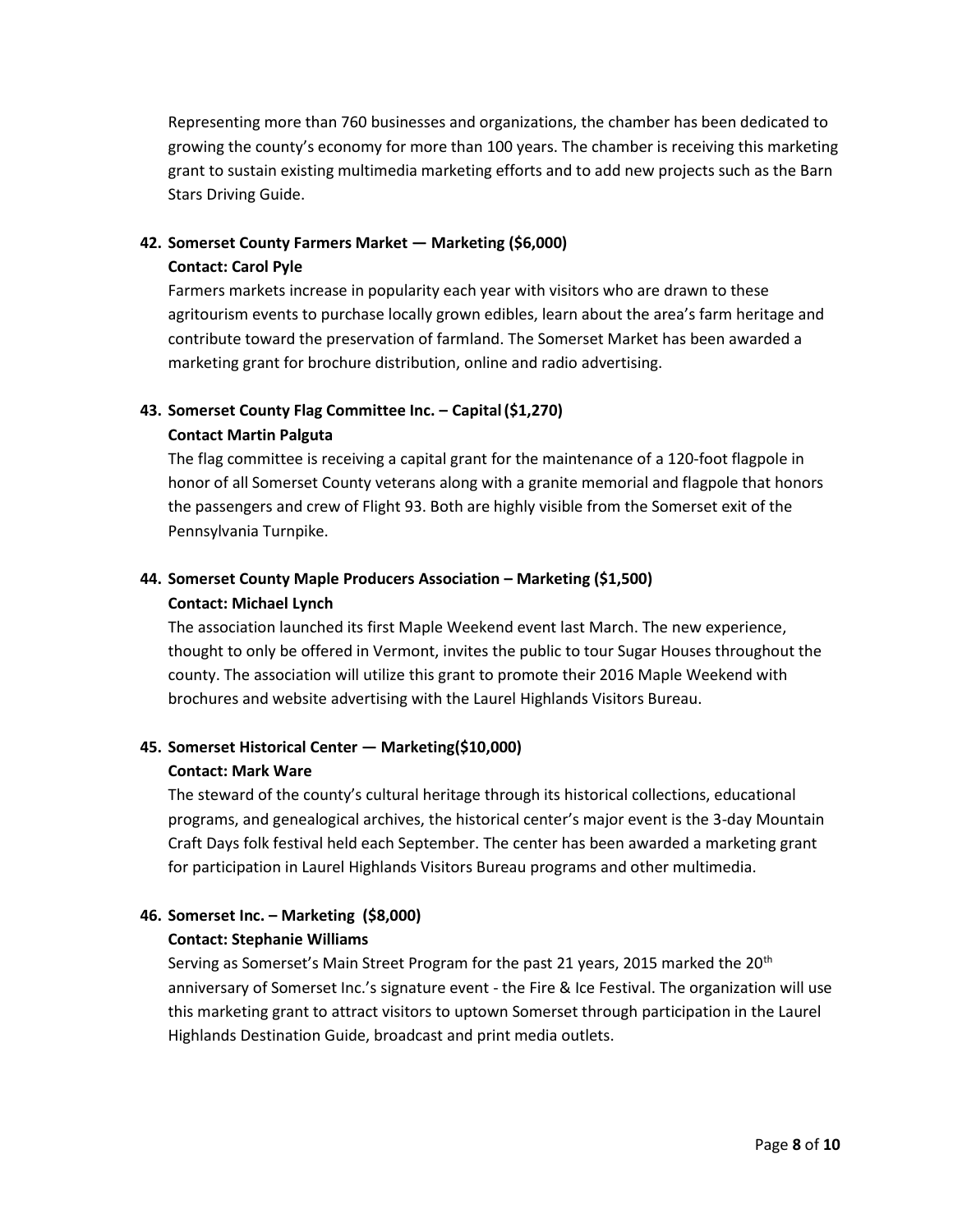Representing more than 760 businesses and organizations, the chamber has been dedicated to growing the county's economy for more than 100 years. The chamber is receiving this marketing grant to sustain existing multimedia marketing efforts and to add new projects such as the Barn Stars Driving Guide.

## **42. Somerset County Farmers Market — Marketing (\$6,000)**

### **Contact: Carol Pyle**

Farmers markets increase in popularity each year with visitors who are drawn to these agritourism events to purchase locally grown edibles, learn about the area's farm heritage and contribute toward the preservation of farmland. The Somerset Market has been awarded a marketing grant for brochure distribution, online and radio advertising.

### **43. Somerset County Flag Committee Inc. – Capital(\$1,270)**

### **Contact Martin Palguta**

The flag committee is receiving a capital grant for the maintenance of a 120-foot flagpole in honor of all Somerset County veterans along with a granite memorial and flagpole that honors the passengers and crew of Flight 93. Both are highly visible from the Somerset exit of the Pennsylvania Turnpike.

## **44. Somerset County Maple Producers Association – Marketing (\$1,500) Contact: Michael Lynch**

The association launched its first Maple Weekend event last March. The new experience, thought to only be offered in Vermont, invites the public to tour Sugar Houses throughout the county. The association will utilize this grant to promote their 2016 Maple Weekend with brochures and website advertising with the Laurel Highlands Visitors Bureau.

### **45. Somerset Historical Center — Marketing(\$10,000)**

#### **Contact: Mark Ware**

The steward of the county's cultural heritage through its historical collections, educational programs, and genealogical archives, the historical center's major event is the 3-day Mountain Craft Days folk festival held each September. The center has been awarded a marketing grant for participation in Laurel Highlands Visitors Bureau programs and other multimedia.

## **46. Somerset Inc. – Marketing (\$8,000)**

### **Contact: Stephanie Williams**

Serving as Somerset's Main Street Program for the past 21 years, 2015 marked the 20<sup>th</sup> anniversary of Somerset Inc.'s signature event - the Fire & Ice Festival. The organization will use this marketing grant to attract visitors to uptown Somerset through participation in the Laurel Highlands Destination Guide, broadcast and print media outlets.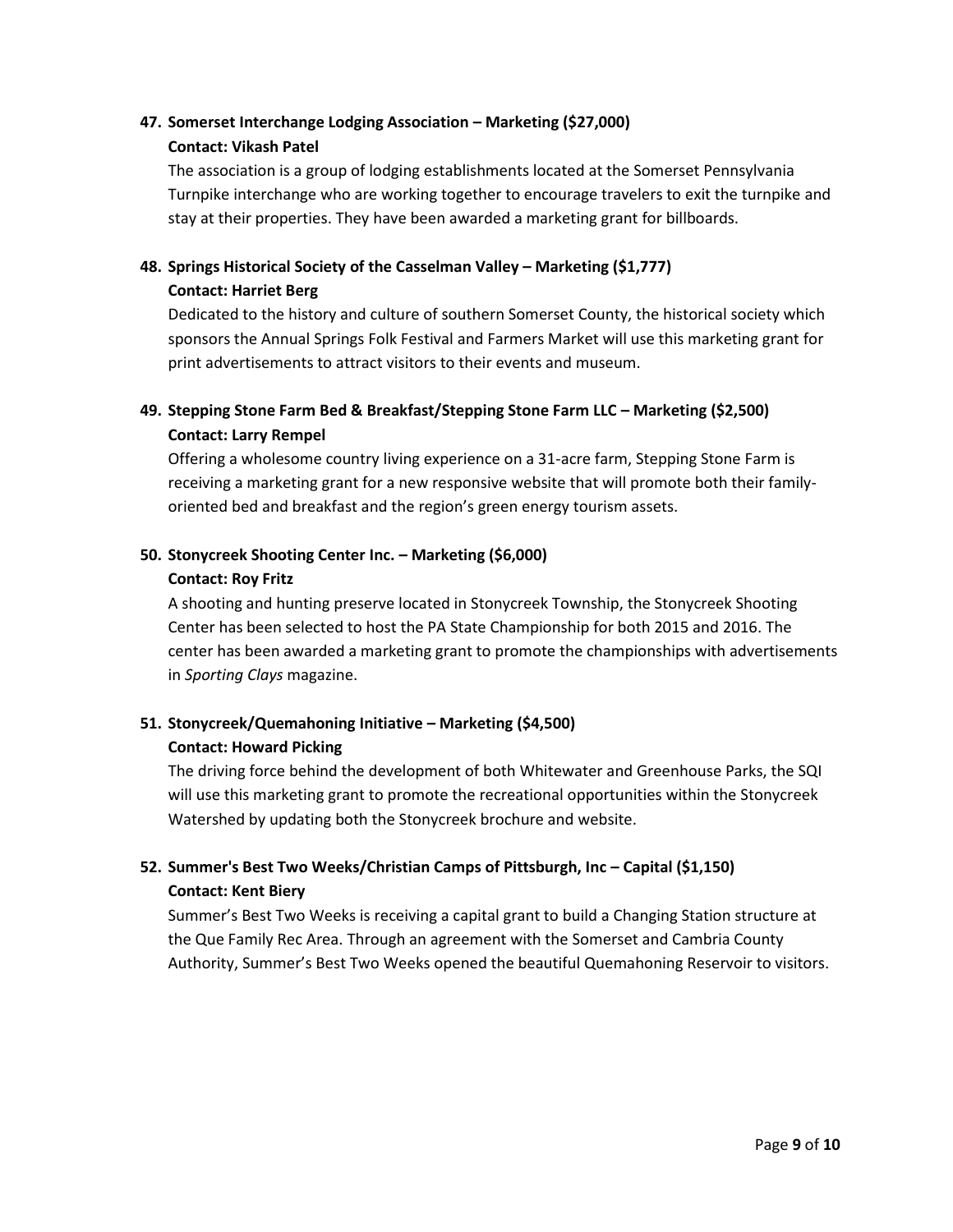## **47. Somerset Interchange Lodging Association – Marketing (\$27,000) Contact: Vikash Patel**

The association is a group of lodging establishments located at the Somerset Pennsylvania Turnpike interchange who are working together to encourage travelers to exit the turnpike and stay at their properties. They have been awarded a marketing grant for billboards.

## **48. Springs Historical Society of the Casselman Valley – Marketing (\$1,777) Contact: Harriet Berg**

Dedicated to the history and culture of southern Somerset County, the historical society which sponsors the Annual Springs Folk Festival and Farmers Market will use this marketing grant for print advertisements to attract visitors to their events and museum.

## **49. Stepping Stone Farm Bed & Breakfast/Stepping Stone Farm LLC – Marketing (\$2,500) Contact: Larry Rempel**

Offering a wholesome country living experience on a 31-acre farm, Stepping Stone Farm is receiving a marketing grant for a new responsive website that will promote both their familyoriented bed and breakfast and the region's green energy tourism assets.

### **50. Stonycreek Shooting Center Inc. – Marketing (\$6,000)**

### **Contact: Roy Fritz**

A shooting and hunting preserve located in Stonycreek Township, the Stonycreek Shooting Center has been selected to host the PA State Championship for both 2015 and 2016. The center has been awarded a marketing grant to promote the championships with advertisements in *Sporting Clays* magazine.

## **51. Stonycreek/Quemahoning Initiative – Marketing (\$4,500) Contact: Howard Picking**

The driving force behind the development of both Whitewater and Greenhouse Parks, the SQI will use this marketing grant to promote the recreational opportunities within the Stonycreek Watershed by updating both the Stonycreek brochure and website.

## **52. Summer's Best Two Weeks/Christian Camps of Pittsburgh, Inc – Capital (\$1,150) Contact: Kent Biery**

Summer's Best Two Weeks is receiving a capital grant to build a Changing Station structure at the Que Family Rec Area. Through an agreement with the Somerset and Cambria County Authority, Summer's Best Two Weeks opened the beautiful Quemahoning Reservoir to visitors.